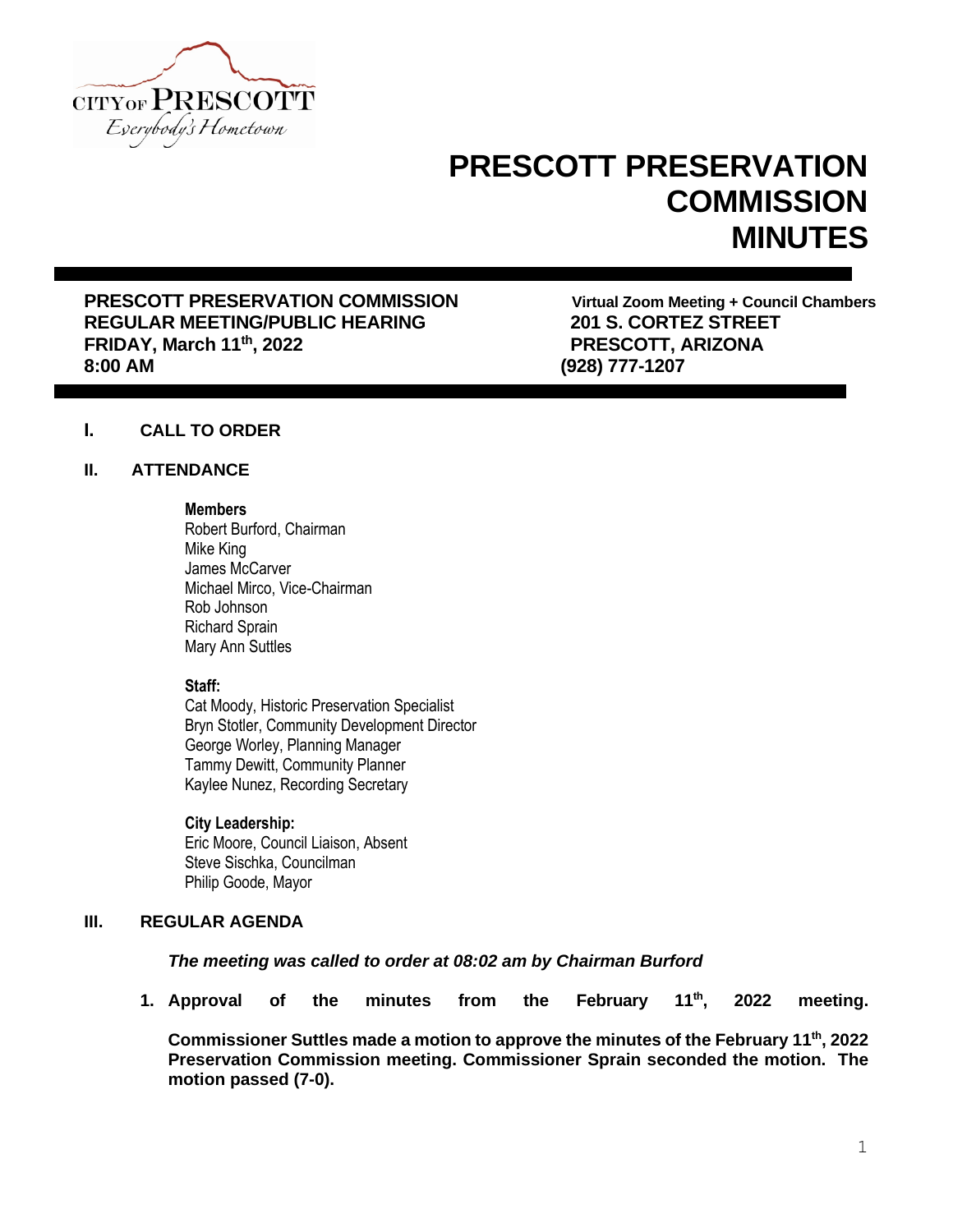

# **PRESCOTT PRESERVATION COMMISSION MINUTES**

**PRESCOTT PRESERVATION COMMISSION Virtual Zoom Meeting + Council Chambers REGULAR MEETING/PUBLIC HEARING 201 S. CORTEZ STREET FRIDAY, March 11th, 2022 PRESCOTT, ARIZONA 8:00 AM (928) 777-1207**

# **I. CALL TO ORDER**

## **II. ATTENDANCE**

#### **Members**

Robert Burford, Chairman Mike King James McCarver Michael Mirco, Vice-Chairman Rob Johnson Richard Sprain Mary Ann Suttles

## **Staff:**

Cat Moody, Historic Preservation Specialist Bryn Stotler, Community Development Director George Worley, Planning Manager Tammy Dewitt, Community Planner Kaylee Nunez, Recording Secretary

#### **City Leadership:**

Eric Moore, Council Liaison, Absent Steve Sischka, Councilman Philip Goode, Mayor

## **III. REGULAR AGENDA**

## *The meeting was called to order at 08:02 am by Chairman Burford*

**1. Approval of the minutes from the February 11th, 2022 meeting.**

**Commissioner Suttles made a motion to approve the minutes of the February 11th, 2022 Preservation Commission meeting. Commissioner Sprain seconded the motion. The motion passed (7-0).**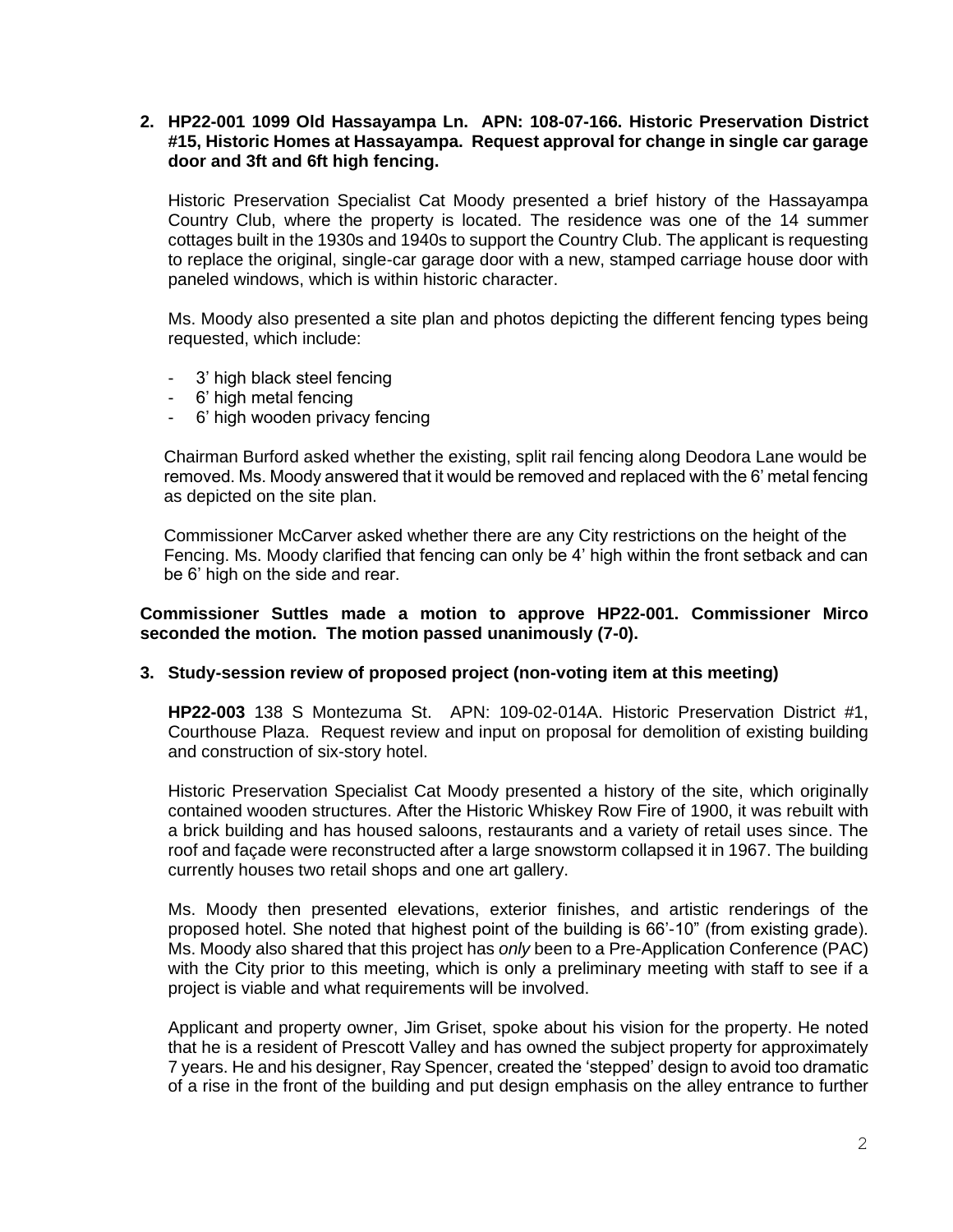## **2. HP22-001 1099 Old Hassayampa Ln. APN: 108-07-166. Historic Preservation District #15, Historic Homes at Hassayampa. Request approval for change in single car garage door and 3ft and 6ft high fencing.**

Historic Preservation Specialist Cat Moody presented a brief history of the Hassayampa Country Club, where the property is located. The residence was one of the 14 summer cottages built in the 1930s and 1940s to support the Country Club. The applicant is requesting to replace the original, single-car garage door with a new, stamped carriage house door with paneled windows, which is within historic character.

Ms. Moody also presented a site plan and photos depicting the different fencing types being requested, which include:

- 3' high black steel fencing
- 6' high metal fencing
- 6' high wooden privacy fencing

 Chairman Burford asked whether the existing, split rail fencing along Deodora Lane would be removed. Ms. Moody answered that it would be removed and replaced with the 6' metal fencing as depicted on the site plan.

 Commissioner McCarver asked whether there are any City restrictions on the height of the Fencing. Ms. Moody clarified that fencing can only be 4' high within the front setback and can be 6' high on the side and rear.

## **Commissioner Suttles made a motion to approve HP22-001. Commissioner Mirco seconded the motion. The motion passed unanimously (7-0).**

# **3. Study-session review of proposed project (non-voting item at this meeting)**

**HP22-003** 138 S Montezuma St. APN: 109-02-014A. Historic Preservation District #1, Courthouse Plaza. Request review and input on proposal for demolition of existing building and construction of six-story hotel.

Historic Preservation Specialist Cat Moody presented a history of the site, which originally contained wooden structures. After the Historic Whiskey Row Fire of 1900, it was rebuilt with a brick building and has housed saloons, restaurants and a variety of retail uses since. The roof and façade were reconstructed after a large snowstorm collapsed it in 1967. The building currently houses two retail shops and one art gallery.

Ms. Moody then presented elevations, exterior finishes, and artistic renderings of the proposed hotel. She noted that highest point of the building is 66'-10" (from existing grade). Ms. Moody also shared that this project has *only* been to a Pre-Application Conference (PAC) with the City prior to this meeting, which is only a preliminary meeting with staff to see if a project is viable and what requirements will be involved.

Applicant and property owner, Jim Griset, spoke about his vision for the property. He noted that he is a resident of Prescott Valley and has owned the subject property for approximately 7 years. He and his designer, Ray Spencer, created the 'stepped' design to avoid too dramatic of a rise in the front of the building and put design emphasis on the alley entrance to further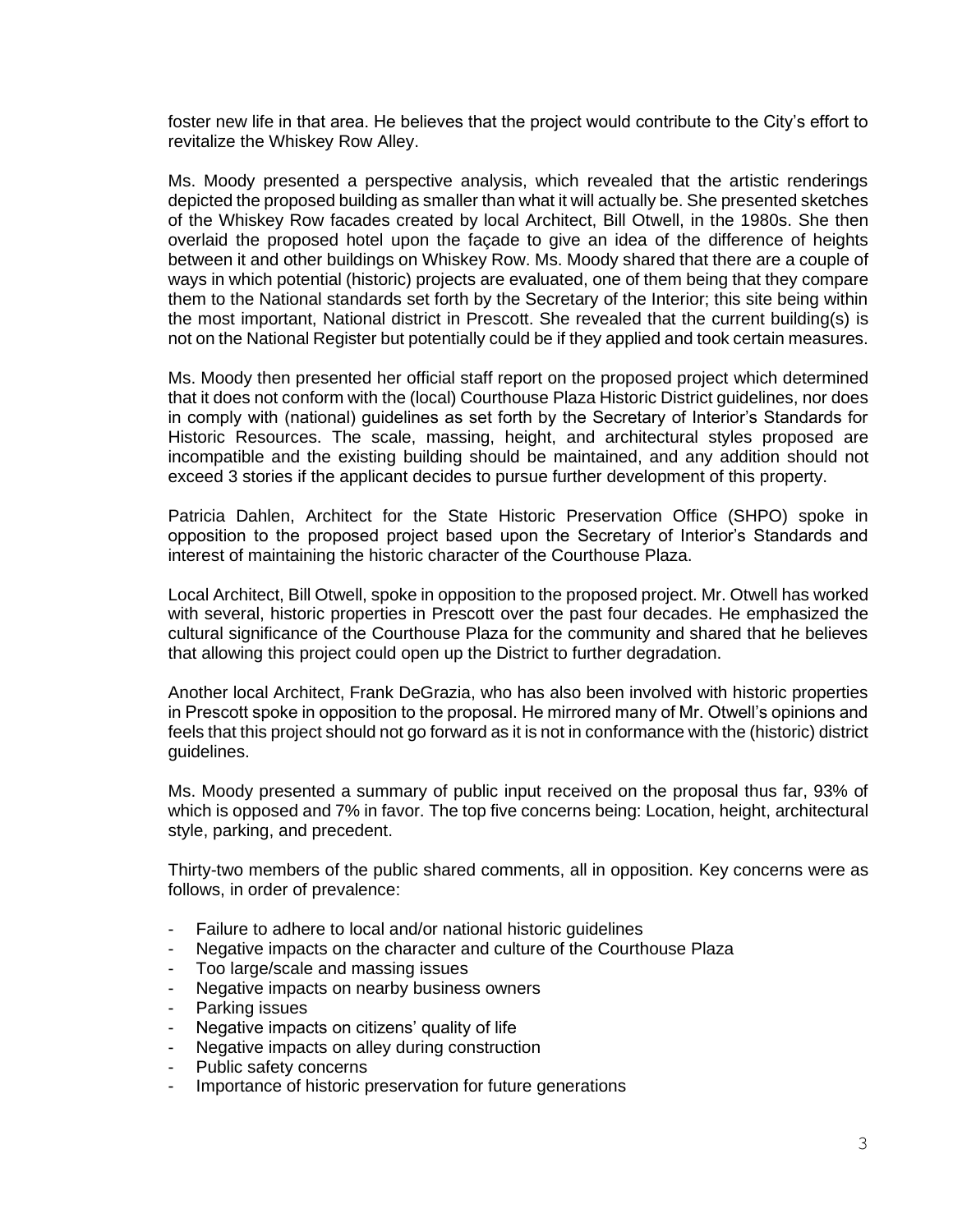foster new life in that area. He believes that the project would contribute to the City's effort to revitalize the Whiskey Row Alley.

Ms. Moody presented a perspective analysis, which revealed that the artistic renderings depicted the proposed building as smaller than what it will actually be. She presented sketches of the Whiskey Row facades created by local Architect, Bill Otwell, in the 1980s. She then overlaid the proposed hotel upon the façade to give an idea of the difference of heights between it and other buildings on Whiskey Row. Ms. Moody shared that there are a couple of ways in which potential (historic) projects are evaluated, one of them being that they compare them to the National standards set forth by the Secretary of the Interior; this site being within the most important, National district in Prescott. She revealed that the current building(s) is not on the National Register but potentially could be if they applied and took certain measures.

Ms. Moody then presented her official staff report on the proposed project which determined that it does not conform with the (local) Courthouse Plaza Historic District guidelines, nor does in comply with (national) guidelines as set forth by the Secretary of Interior's Standards for Historic Resources. The scale, massing, height, and architectural styles proposed are incompatible and the existing building should be maintained, and any addition should not exceed 3 stories if the applicant decides to pursue further development of this property.

Patricia Dahlen, Architect for the State Historic Preservation Office (SHPO) spoke in opposition to the proposed project based upon the Secretary of Interior's Standards and interest of maintaining the historic character of the Courthouse Plaza.

Local Architect, Bill Otwell, spoke in opposition to the proposed project. Mr. Otwell has worked with several, historic properties in Prescott over the past four decades. He emphasized the cultural significance of the Courthouse Plaza for the community and shared that he believes that allowing this project could open up the District to further degradation.

Another local Architect, Frank DeGrazia, who has also been involved with historic properties in Prescott spoke in opposition to the proposal. He mirrored many of Mr. Otwell's opinions and feels that this project should not go forward as it is not in conformance with the (historic) district guidelines.

Ms. Moody presented a summary of public input received on the proposal thus far, 93% of which is opposed and 7% in favor. The top five concerns being: Location, height, architectural style, parking, and precedent.

Thirty-two members of the public shared comments, all in opposition. Key concerns were as follows, in order of prevalence:

- Failure to adhere to local and/or national historic quidelines
- Negative impacts on the character and culture of the Courthouse Plaza
- Too large/scale and massing issues
- Negative impacts on nearby business owners
- Parking issues
- Negative impacts on citizens' quality of life
- Negative impacts on alley during construction
- Public safety concerns
- Importance of historic preservation for future generations